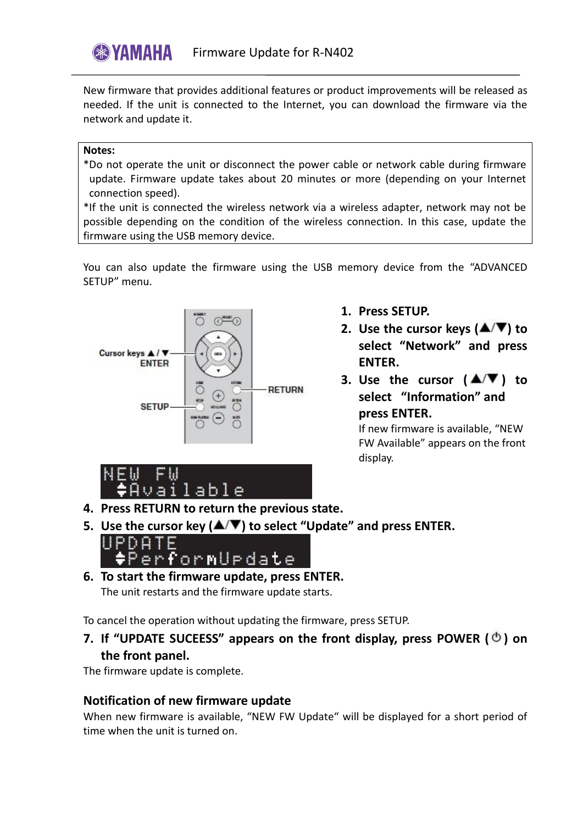New firmware that provides additional features or product improvements will be released as needed. If the unit is connected to the Internet, you can download the firmware via the network and update it.

## **Notes:**

\*Do not operate the unit or disconnect the power cable or network cable during firmware update. Firmware update takes about 20 minutes or more (depending on your Internet connection speed).

\*If the unit is connected the wireless network via a wireless adapter, network may not be possible depending on the condition of the wireless connection. In this case, update the firmware using the USB memory device.

You can also update the firmware using the USB memory device from the "ADVANCED SETUP" menu.



- **1. Press SETUP.**
- **2.** Use the cursor keys  $(\triangle/\blacktriangledown)$  to **select "Network" and press ENTER.**
- **3.** Use the cursor  $(A/\nabla)$  to **select "Information" and press ENTER.**

If new firmware is available, "NEW FW Available" appears on the front display.



- **4. Press RETURN to return the previous state.**
- **5.** Use the cursor key (▲/▼) to select "Update" and press ENTER.



**6. To start the firmware update, press ENTER.** The unit restarts and the firmware update starts.

To cancel the operation without updating the firmware, press SETUP.

**7. If "UPDATE SUCEESS" appears on the front display, press POWER ( ) on the front panel.**

The firmware update is complete.

## **Notification of new firmware update**

When new firmware is available, "NEW FW Update" will be displayed for a short period of time when the unit is turned on.